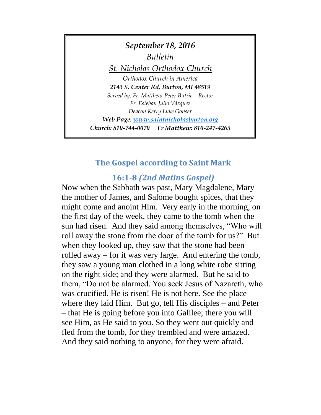

# **The Gospel according to Saint Mark**

# **16:1-8** *(2nd Matins Gospel)*

Now when the Sabbath was past, Mary Magdalene, Mary the mother of James, and Salome bought spices, that they might come and anoint Him. Very early in the morning, on the first day of the week, they came to the tomb when the sun had risen. And they said among themselves, "Who will roll away the stone from the door of the tomb for us?" But when they looked up, they saw that the stone had been rolled away – for it was very large. And entering the tomb, they saw a young man clothed in a long white robe sitting on the right side; and they were alarmed. But he said to them, "Do not be alarmed. You seek Jesus of Nazareth, who was crucified. He is risen! He is not here. See the place where they laid Him. But go, tell His disciples – and Peter – that He is going before you into Galilee; there you will see Him, as He said to you. So they went out quickly and fled from the tomb, for they trembled and were amazed. And they said nothing to anyone, for they were afraid.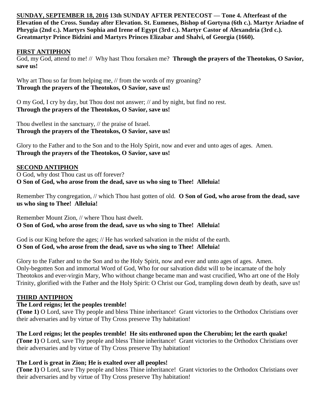**SUNDAY, SEPTEMBER 18, 2016 13th SUNDAY AFTER PENTECOST — Tone 4. Afterfeast of the Elevation of the Cross. Sunday after Elevation. St. Eumenes, Bishop of Gortyna (6th c.). Martyr Ariadne of Phrygia (2nd c.). Martyrs Sophia and Irene of Egypt (3rd c.). Martyr Castor of Alexandria (3rd c.). Greatmartyr Prince Bidzini and Martyrs Princes Elizabar and Shalvi, of Georgia (1660).** 

### **FIRST ANTIPHON**

God, my God, attend to me! // Why hast Thou forsaken me? **Through the prayers of the Theotokos, O Savior, save us!**

Why art Thou so far from helping me,  $\frac{1}{10}$  from the words of my groaning? **Through the prayers of the Theotokos, O Savior, save us!**

O my God, I cry by day, but Thou dost not answer; // and by night, but find no rest. **Through the prayers of the Theotokos, O Savior, save us!**

Thou dwellest in the sanctuary, // the praise of Israel. **Through the prayers of the Theotokos, O Savior, save us!**

Glory to the Father and to the Son and to the Holy Spirit, now and ever and unto ages of ages. Amen. **Through the prayers of the Theotokos, O Savior, save us!**

#### **SECOND ANTIPHON**

O God, why dost Thou cast us off forever? **O Son of God, who arose from the dead, save us who sing to Thee! Alleluia!**

Remember Thy congregation, // which Thou hast gotten of old. **O Son of God, who arose from the dead, save us who sing to Thee! Alleluia!**

Remember Mount Zion, // where Thou hast dwelt. **O Son of God, who arose from the dead, save us who sing to Thee! Alleluia!**

God is our King before the ages; // He has worked salvation in the midst of the earth. **O Son of God, who arose from the dead, save us who sing to Thee! Alleluia!**

Glory to the Father and to the Son and to the Holy Spirit, now and ever and unto ages of ages. Amen. Only-begotten Son and immortal Word of God, Who for our salvation didst will to be incarnate of the holy Theotokos and ever-virgin Mary, Who without change became man and wast crucified, Who art one of the Holy Trinity, glorified with the Father and the Holy Spirit: O Christ our God, trampling down death by death, save us!

#### **THIRD ANTIPHON**

#### **The Lord reigns; let the peoples tremble!**

**(Tone 1)** O Lord, save Thy people and bless Thine inheritance! Grant victories to the Orthodox Christians over their adversaries and by virtue of Thy Cross preserve Thy habitation!

**The Lord reigns; let the peoples tremble! He sits enthroned upon the Cherubim; let the earth quake! (Tone 1)** O Lord, save Thy people and bless Thine inheritance! Grant victories to the Orthodox Christians over their adversaries and by virtue of Thy Cross preserve Thy habitation!

#### **The Lord is great in Zion; He is exalted over all peoples!**

**(Tone 1)** O Lord, save Thy people and bless Thine inheritance! Grant victories to the Orthodox Christians over their adversaries and by virtue of Thy Cross preserve Thy habitation!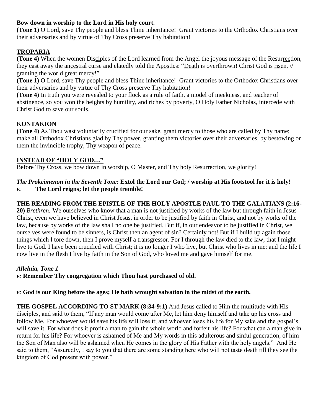# **Bow down in worship to the Lord in His holy court.**

**(Tone 1)** O Lord, save Thy people and bless Thine inheritance! Grant victories to the Orthodox Christians over their adversaries and by virtue of Thy Cross preserve Thy habitation!

# **TROPARIA**

**(Tone 4)** When the women Disciples of the Lord learned from the Angel the joyous message of the Resurrection, they cast away the ancestral curse and elatedly told the Apostles: "Death is overthrown! Christ God is risen, // granting the world great mercy!"

**(Tone 1)** O Lord, save Thy people and bless Thine inheritance! Grant victories to the Orthodox Christians over their adversaries and by virtue of Thy Cross preserve Thy habitation!

**(Tone 4)** In truth you were revealed to your flock as a rule of faith, a model of meekness, and teacher of abstinence, so you won the heights by humility, and riches by poverty, O Holy Father Nicholas, intercede with Christ God to save our souls.

# **KONTAKION**

**(Tone 4)** As Thou wast voluntarily crucified for our sake, grant mercy to those who are called by Thy name; make all Orthodox Christians glad by Thy power, granting them victories over their adversaries, by bestowing on them the invincible trophy, Thy weapon of peace.

# **INSTEAD OF "HOLY GOD…"**

Before Thy Cross, we bow down in worship, O Master, and Thy holy Resurrection, we glorify!

### *The Prokeimenon in the Seventh Tone:* **Extol the Lord our God; / worship at His footstool for it is holy!** *v.* **The Lord reigns; let the people tremble!**

# **THE READING FROM THE EPISTLE OF THE HOLY APOSTLE PAUL TO THE GALATIANS (2:16-**

**20)** *Brethren:* We ourselves who know that a man is not justified by works of the law but through faith in Jesus Christ, even we have believed in Christ Jesus, in order to be justified by faith in Christ, and not by works of the law, because by works of the law shall no one be justified. But if, in our endeavor to be justified in Christ, we ourselves were found to be sinners, is Christ then an agent of sin? Certainly not! But if I build up again those things which I tore down, then I prove myself a transgressor. For I through the law died to the law, that I might live to God. I have been crucified with Christ; it is no longer I who live, but Christ who lives in me; and the life I now live in the flesh I live by faith in the Son of God, who loved me and gave himself for me.

### *Alleluia, Tone 1*

*v:* **Remember Thy congregation which Thou hast purchased of old.**

*v:* **God is our King before the ages; He hath wrought salvation in the midst of the earth.**

**THE GOSPEL ACCORDING TO ST MARK (8:34-9:1)** And Jesus called to Him the multitude with His disciples, and said to them, "If any man would come after Me, let him deny himself and take up his cross and follow Me. For whoever would save his life will lose it; and whoever loses his life for My sake and the gospel's will save it. For what does it profit a man to gain the whole world and forfeit his life? For what can a man give in return for his life? For whoever is ashamed of Me and My words in this adulterous and sinful generation, of him the Son of Man also will be ashamed when He comes in the glory of His Father with the holy angels." And He said to them, "Assuredly, I say to you that there are some standing here who will not taste death till they see the kingdom of God present with power."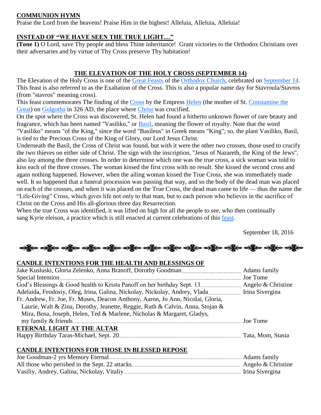# **COMMUNION HYMN**

Praise the Lord from the heavens! Praise Him in the highest! Alleluia, Alleluia, Alleluia!

# **INSTEAD OF "WE HAVE SEEN THE TRUE LIGHT…"**

**(Tone 1)** O Lord, save Thy people and bless Thine inheritance! Grant victories to the Orthodox Christians over their adversaries and by virtue of Thy Cross preserve Thy habitation!

# **THE ELEVATION OF THE HOLY CROSS (SEPTEMBER 14)**

The Elevation of the Holy Cross is one of the [Great Feasts](https://orthodoxwiki.org/Great_Feasts) of the [Orthodox Church,](https://orthodoxwiki.org/Orthodox_Church) celebrated on [September 14.](https://orthodoxwiki.org/September_14) This feast is also referred to as the Exaltation of the Cross. This is also a popular name day for Stavroula/Stavros (from "stavros" meaning cross).

This feast commemorates The finding of the [Cross](https://orthodoxwiki.org/Cross) by the Empress [Helen](https://orthodoxwiki.org/Helen) (the mother of St. Constantine the [Great\)](https://orthodoxwiki.org/Constantine_the_Great) on [Golgotha](https://orthodoxwiki.org/Golgotha) in 326 AD, the place where [Christ](https://orthodoxwiki.org/Jesus_Christ) was crucified.

On the spot where the Cross was discovered, St. Helen had found a hitherto unknown flower of rare beauty and fragrance, which has been named "Vasiliko," or [Basil,](http://en.wikipedia.org/wiki/List_of_basil_cultivars) meaning the flower of royalty. Note that the word "Vasiliko" means "of the King," since the word "Basileus" in Greek means "King"; so, the plant Vasiliko, Basil, is tied to the Precious Cross of the King of Glory, our Lord Jesus Christ.

Underneath the Basil, the Cross of Christ was found, but with it were the other two crosses, those used to crucify the two thieves on either side of Christ. The sign with the inscription, "Jesus of Nazareth, the King of the Jews", also lay among the three crosses. In order to determine which one was the true cross, a sick woman was told to kiss each of the three crosses. The woman kissed the first cross with no result. She kissed the second cross and again nothing happened. However, when the ailing woman kissed the True Cross, she was immediately made well. It so happened that a funeral procession was passing that way, and so the body of the dead man was placed on each of the crosses, and when it was placed on the True Cross, the dead man came to life — thus the name the "Life-Giving" Cross, which gives life not only to that man, but to each person who believes in the sacrifice of Christ on the Cross and His all-glorious three day Resurrection.

When the true Cross was identified, it was lifted on high for all the people to see, who then continually sang Kyrie eleison, a practice which is still enacted at current celebrations of this [feast.](https://orthodoxwiki.org/Feast)

September 18, 2016

လန္တြိုေလ့ရွိပ္ေလ့ရွိပ္ေပါ့ရွိပ္ေလ့ရွိပ္ေလ့ရွိပ္ေလ့ရွိပ္ေလ့ရွိပ္ေလွ်ာ့ ေရွာ္ေလ့ရွိပ္ေလ့ရွိပ္ေလွ်ာ့ေ

### **CANDLE INTENTIONS FOR THE HEALTH AND BLESSINGS OF**

| Fr. Andrew, Fr. Joe, Fr. Moses, Deacon Anthony, Aaron, Jo Ann, Nicolai, Gloria, |  |
|---------------------------------------------------------------------------------|--|
| Laurie, Walt & Zina, Dorothy, Jeanette, Reggie, Ruth & Calvin, Anna, Stojan &   |  |
| Mira, Bosa, Joseph, Helen, Ted & Marlene, Nicholas & Margaret, Gladys,          |  |
|                                                                                 |  |
| ETERNAL LIGHT AT THE ALTAR                                                      |  |
|                                                                                 |  |

### **CANDLE INTENTIONS FOR THOSE IN BLESSED REPOSE**

| . Adams family         |
|------------------------|
| . Angelo $&$ Christine |
|                        |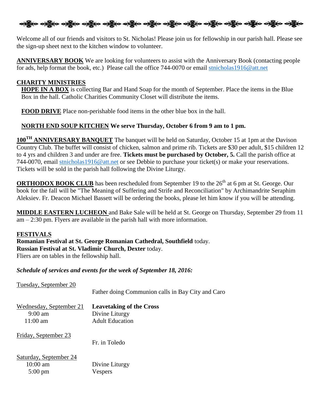ဆို့ပြီးစ ဝတ္ထို**ဝ ဝတ္ထိုဝ ဝတ္ထိုဝ ဝတ္ထိုဝ ဝတ္ထိုဝ ဝတ္ထိုဝ ဝတ္ထိုဝ ဝတ္ထိုဝ ဝတ္ထိုဝ ဝတ္ထိုဝ ဝတ္ထိုဝ ဝတ္ထိုဝ** 

Welcome all of our friends and visitors to St. Nicholas! Please join us for fellowship in our parish hall. Please see the sign-up sheet next to the kitchen window to volunteer.

**ANNIVERSARY BOOK** We are looking for volunteers to assist with the Anniversary Book (contacting people for ads, help format the book, etc.) Please call the office 744-0070 or email [stnicholas1916@att.net](mailto:stnicholas1916@att.net)

## **CHARITY MINISTRIES**

**HOPE IN A BOX** is collecting Bar and Hand Soap for the month of September. Place the items in the Blue Box in the hall. Catholic Charities Community Closet will distribute the items.

**FOOD DRIVE** Place non-perishable food items in the other blue box in the hall.

# **NORTH END SOUP KITCHEN We serve Thursday, October 6 from 9 am to 1 pm.**

**100TH ANNIVERSARY BANQUET** The banquet will be held on Saturday, October 15 at 1pm at the Davison Country Club. The buffet will consist of chicken, salmon and prime rib. Tickets are \$30 per adult, \$15 children 12 to 4 yrs and children 3 and under are free. **Tickets must be purchased by October, 5.** Call the parish office at 744-0070, email [stnicholas1916@att.net](mailto:stnicholas1916@att.net) or see Debbie to purchase your ticket(s) or make your reservations. Tickets will be sold in the parish hall following the Divine Liturgy.

**ORTHODOX BOOK CLUB** has been rescheduled from September 19 to the 26<sup>th</sup> at 6 pm at St. George. Our book for the fall will be "The Meaning of Suffering and Strife and Reconciliation" by Archimandrite Seraphim Aleksiev. Fr. Deacon Michael Bassett will be ordering the books, please let him know if you will be attending.

**MIDDLE EASTERN LUCHEON** and Bake Sale will be held at St. George on Thursday, September 29 from 11 am – 2:30 pm. Flyers are available in the parish hall with more information.

### **FESTIVALS**

**Romanian Festival at St. George Romanian Cathedral, Southfield** today. **Russian Festival at St. Vladimir Church, Dexter** today. Fliers are on tables in the fellowship hall.

*Schedule of services and events for the week of September 18, 2016:*

| Tuesday, September 20                                              | Father doing Communion calls in Bay City and Caro                           |
|--------------------------------------------------------------------|-----------------------------------------------------------------------------|
| Wednesday, September 21<br>$9:00 \text{ am}$<br>$11:00 \text{ am}$ | <b>Leavetaking of the Cross</b><br>Divine Liturgy<br><b>Adult Education</b> |
| Friday, September 23                                               | Fr. in Toledo                                                               |
| Saturday, September 24<br>$10:00 \text{ am}$<br>$5:00 \text{ pm}$  | Divine Liturgy<br>Vespers                                                   |